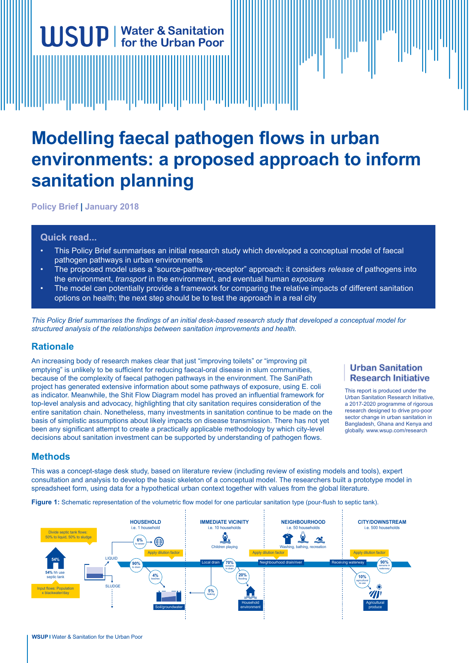# **Modelling faecal pathogen flows in urban environments: a proposed approach to inform sanitation planning**

**Policy Brief | January 2018**

**WSUP** | Water & Sanitation

#### **Quick read...**

- This Policy Brief summarises an initial research study which developed a conceptual model of faecal pathogen pathways in urban environments
- The proposed model uses a "source-pathway-receptor" approach: it considers *release* of pathogens into the environment, *transport* in the environment, and eventual human *exposure*
- The model can potentially provide a framework for comparing the relative impacts of different sanitation options on health; the next step should be to test the approach in a real city

*This Policy Brief summarises the findings of an initial desk-based research study that developed a conceptual model for structured analysis of the relationships between sanitation improvements and health.* 

#### **Rationale**

An increasing body of research makes clear that just "improving toilets" or "improving pit emptying" is unlikely to be sufficient for reducing faecal-oral disease in slum communities, because of the complexity of faecal pathogen pathways in the environment. The SaniPath project has generated extensive information about some pathways of exposure, using E. coli as indicator. Meanwhile, the Shit Flow Diagram model has proved an influential framework for top-level analysis and advocacy, highlighting that city sanitation requires consideration of the entire sanitation chain. Nonetheless, many investments in sanitation continue to be made on the basis of simplistic assumptions about likely impacts on disease transmission. There has not yet been any significant attempt to create a practically applicable methodology by which city-level decisions about sanitation investment can be supported by understanding of pathogen flows.

#### **Urban Sanitation Research Initiative**

This report is produced under the Urban Sanitation Research Initiative, a 2017-2020 programme of rigorous research designed to drive pro-poor sector change in urban sanitation in Bangladesh, Ghana and Kenya and globally. www.wsup.com/research

### **Methods**

This was a concept-stage desk study, based on literature review (including review of existing models and tools), expert consultation and analysis to develop the basic skeleton of a conceptual model. The researchers built a prototype model in spreadsheet form, using data for a hypothetical urban context together with values from the global literature.

**Figure 1:** Schematic representation of the volumetric flow model for one particular sanitation type (pour-flush to septic tank).